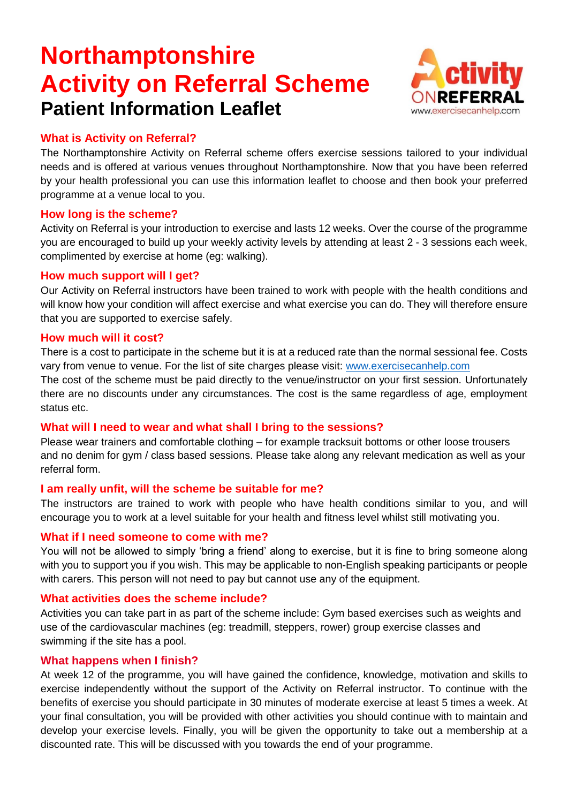# **Northamptonshire Activity on Referral Scheme Patient Information Leaflet**



# **What is Activity on Referral?**

The Northamptonshire Activity on Referral scheme offers exercise sessions tailored to your individual needs and is offered at various venues throughout Northamptonshire. Now that you have been referred by your health professional you can use this information leaflet to choose and then book your preferred programme at a venue local to you.

#### **How long is the scheme?**

Activity on Referral is your introduction to exercise and lasts 12 weeks. Over the course of the programme you are encouraged to build up your weekly activity levels by attending at least 2 - 3 sessions each week, complimented by exercise at home (eg: walking).

#### **How much support will I get?**

Our Activity on Referral instructors have been trained to work with people with the health conditions and will know how your condition will affect exercise and what exercise you can do. They will therefore ensure that you are supported to exercise safely.

#### **How much will it cost?**

There is a cost to participate in the scheme but it is at a reduced rate than the normal sessional fee. Costs vary from venue to venue. For the list of site charges please visit: [www.exercisecanhelp.com](http://www.exercisecanhelp.com/)

The cost of the scheme must be paid directly to the venue/instructor on your first session. Unfortunately there are no discounts under any circumstances. The cost is the same regardless of age, employment status etc.

### **What will I need to wear and what shall I bring to the sessions?**

Please wear trainers and comfortable clothing – for example tracksuit bottoms or other loose trousers and no denim for gym / class based sessions. Please take along any relevant medication as well as your referral form.

### **I am really unfit, will the scheme be suitable for me?**

The instructors are trained to work with people who have health conditions similar to you, and will encourage you to work at a level suitable for your health and fitness level whilst still motivating you.

### **What if I need someone to come with me?**

You will not be allowed to simply 'bring a friend' along to exercise, but it is fine to bring someone along with you to support you if you wish. This may be applicable to non-English speaking participants or people with carers. This person will not need to pay but cannot use any of the equipment.

### **What activities does the scheme include?**

Activities you can take part in as part of the scheme include: Gym based exercises such as weights and use of the cardiovascular machines (eg: treadmill, steppers, rower) group exercise classes and swimming if the site has a pool.

#### **What happens when I finish?**

At week 12 of the programme, you will have gained the confidence, knowledge, motivation and skills to exercise independently without the support of the Activity on Referral instructor. To continue with the benefits of exercise you should participate in 30 minutes of moderate exercise at least 5 times a week. At your final consultation, you will be provided with other activities you should continue with to maintain and develop your exercise levels. Finally, you will be given the opportunity to take out a membership at a discounted rate. This will be discussed with you towards the end of your programme.